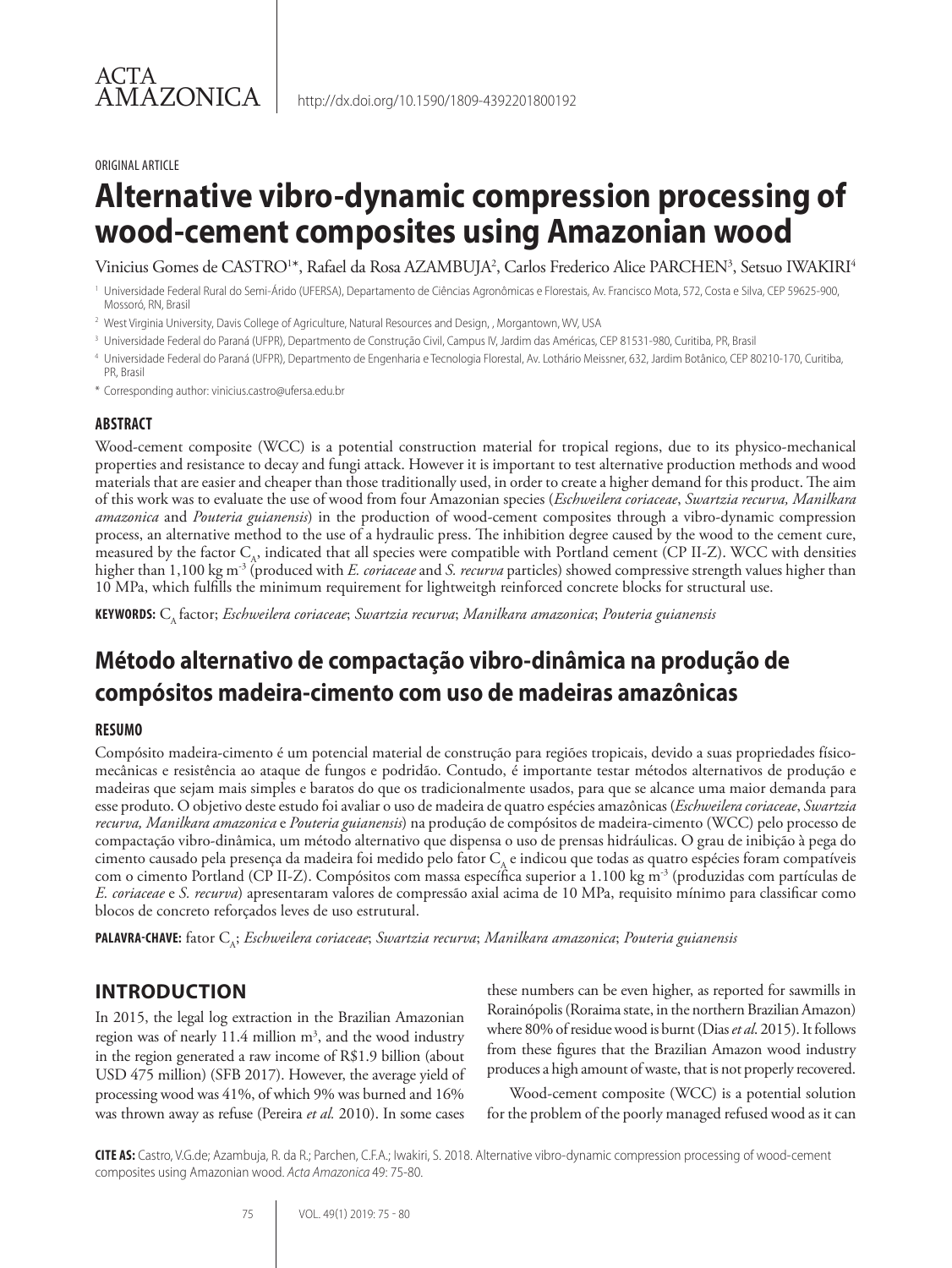#### ORIGINAL ARTICLE

# **Alternative vibro-dynamic compression processing of wood-cement composites using Amazonian wood**

Vinicius Gomes de CASTRO1\*, Rafael da Rosa AZAMBUJA<sup>2</sup>, Carlos Frederico Alice PARCHEN<sup>3</sup>, Setsuo IWAKIRI<sup>4</sup>

<sup>1</sup> Universidade Federal Rural do Semi-Árido (UFERSA), Departamento de Ciências Agronômicas e Florestais, Av. Francisco Mota, 572, Costa e Silva, CEP 59625-900, Mossoró, RN, Brasil

<sup>2</sup> West Virginia University, Davis College of Agriculture, Natural Resources and Design, , Morgantown, WV, USA

- <sup>3</sup> Universidade Federal do Paraná (UFPR), Departmento de Construção Civil, Campus IV, Jardim das Américas, CEP 81531-980, Curitiba, PR, Brasil
- <sup>4</sup> Universidade Federal do Paraná (UFPR), Departmento de Engenharia e Tecnologia Florestal, Av. Lothário Meissner, 632, Jardim Botânico, CEP 80210-170, Curitiba, PR, Brasil
- \* Corresponding author: vinicius.castro@ufersa.edu.br

#### **ABSTRACT**

Wood-cement composite (WCC) is a potential construction material for tropical regions, due to its physico-mechanical properties and resistance to decay and fungi attack. However it is important to test alternative production methods and wood materials that are easier and cheaper than those traditionally used, in order to create a higher demand for this product. The aim of this work was to evaluate the use of wood from four Amazonian species (*Eschweilera coriaceae*, *Swartzia recurva, Manilkara amazonica* and *Pouteria guianensis*) in the production of wood-cement composites through a vibro-dynamic compression process, an alternative method to the use of a hydraulic press. The inhibition degree caused by the wood to the cement cure, measured by the factor  $C_A$ , indicated that all species were compatible with Portland cement (CP II-Z). WCC with densities higher than 1,100 kg m-3 (produced with *E. coriaceae* and *S. recurva* particles) showed compressive strength values higher than 10 MPa, which fulfills the minimum requirement for lightweitgh reinforced concrete blocks for structural use.

**KEYWORDS:** CA factor; *Eschweilera coriaceae*; *Swartzia recurva*; *Manilkara amazonica*; *Pouteria guianensis*

# **Método alternativo de compactação vibro-dinâmica na produção de compósitos madeira-cimento com uso de madeiras amazônicas**

#### **RESUMO**

Compósito madeira-cimento é um potencial material de construção para regiões tropicais, devido a suas propriedades físicomecânicas e resistência ao ataque de fungos e podridão. Contudo, é importante testar métodos alternativos de produção e madeiras que sejam mais simples e baratos do que os tradicionalmente usados, para que se alcance uma maior demanda para esse produto. O objetivo deste estudo foi avaliar o uso de madeira de quatro espécies amazônicas (*Eschweilera coriaceae*, *Swartzia recurva, Manilkara amazonica* e *Pouteria guianensis*) na produção de compósitos de madeira-cimento (WCC) pelo processo de compactação vibro-dinâmica, um método alternativo que dispensa o uso de prensas hidráulicas. O grau de inibição à pega do cimento causado pela presença da madeira foi medido pelo fator  $C_A$  e indicou que todas as quatro espécies foram compatíveis com o cimento Portland (CP II-Z). Compósitos com massa específica superior a 1.100 kg m-3 (produzidas com partículas de *E. coriaceae* e *S. recurva*) apresentaram valores de compressão axial acima de 10 MPa, requisito mínimo para classificar como blocos de concreto reforçados leves de uso estrutural.

**PALAVRA-CHAVE:** fator CA; *Eschweilera coriaceae*; *Swartzia recurva*; *Manilkara amazonica*; *Pouteria guianensis*

# **INTRODUCTION**

In 2015, the legal log extraction in the Brazilian Amazonian region was of nearly 11.4 million  $m^3$ , and the wood industry in the region generated a raw income of R\$1.9 billion (about USD 475 million) (SFB 2017). However, the average yield of processing wood was 41%, of which 9% was burned and 16% was thrown away as refuse (Pereira *et al.* 2010). In some cases

these numbers can be even higher, as reported for sawmills in Rorainópolis (Roraima state, in the northern Brazilian Amazon) where 80% of residue wood is burnt (Dias *et al*. 2015). It follows from these figures that the Brazilian Amazon wood industry produces a high amount of waste, that is not properly recovered.

Wood-cement composite (WCC) is a potential solution for the problem of the poorly managed refused wood as it can

**CITE AS:** Castro, V.G.de; Azambuja, R. da R.; Parchen, C.F.A.; Iwakiri, S. 2018. Alternative vibro-dynamic compression processing of wood-cement composites using Amazonian wood. *Acta Amazonica* 49: 75-80.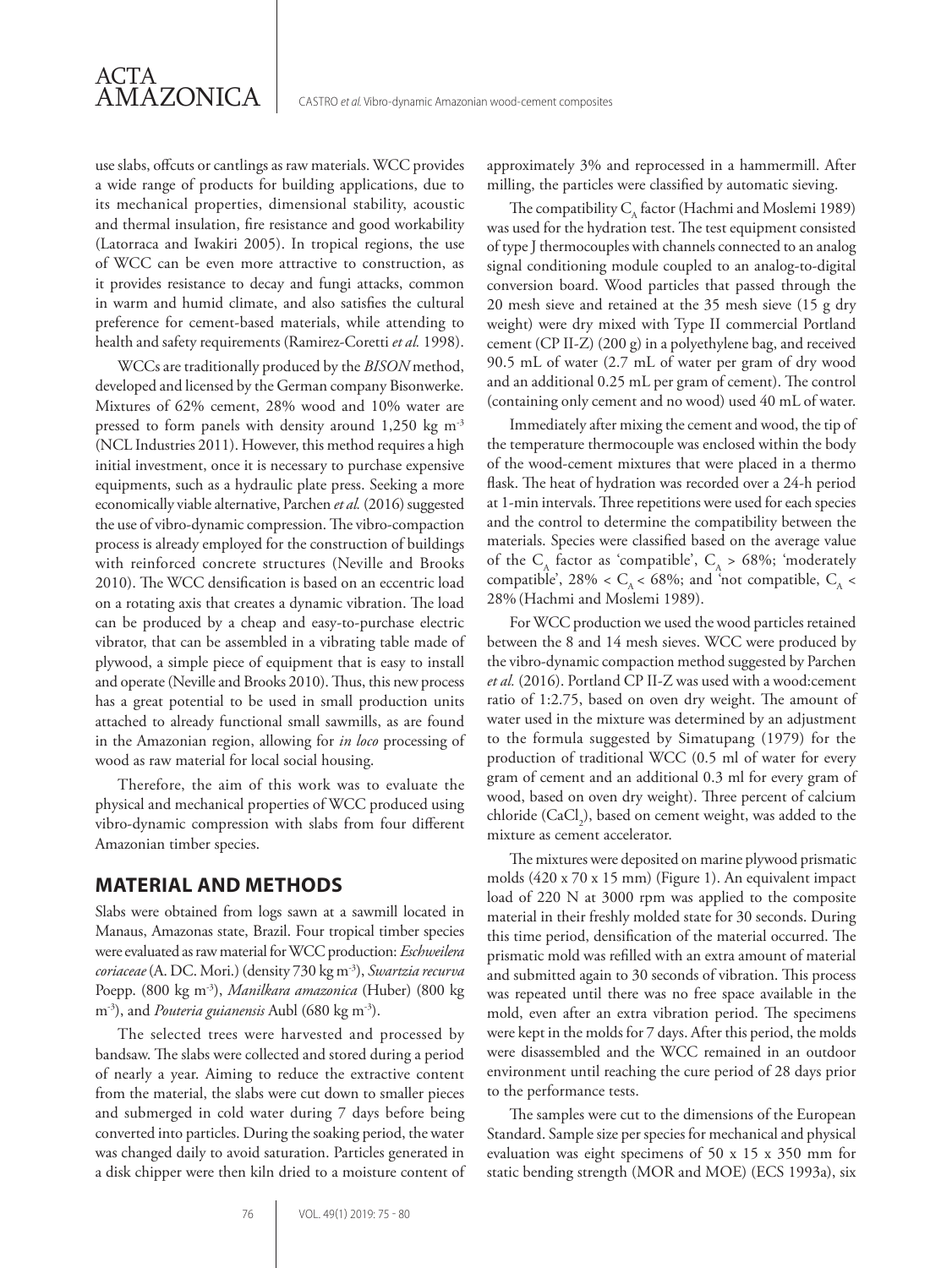use slabs, offcuts or cantlings as raw materials. WCC provides a wide range of products for building applications, due to its mechanical properties, dimensional stability, acoustic and thermal insulation, fire resistance and good workability (Latorraca and Iwakiri 2005). In tropical regions, the use of WCC can be even more attractive to construction, as it provides resistance to decay and fungi attacks, common in warm and humid climate, and also satisfies the cultural preference for cement-based materials, while attending to health and safety requirements (Ramirez-Coretti *et al.* 1998).

ACTA

AMAZONICA

WCCs are traditionally produced by the *BISON* method, developed and licensed by the German company Bisonwerke. Mixtures of 62% cement, 28% wood and 10% water are pressed to form panels with density around 1,250 kg m-3 (NCL Industries 2011). However, this method requires a high initial investment, once it is necessary to purchase expensive equipments, such as a hydraulic plate press. Seeking a more economically viable alternative, Parchen *et al.* (2016) suggested the use of vibro-dynamic compression. The vibro-compaction process is already employed for the construction of buildings with reinforced concrete structures (Neville and Brooks 2010). The WCC densification is based on an eccentric load on a rotating axis that creates a dynamic vibration. The load can be produced by a cheap and easy-to-purchase electric vibrator, that can be assembled in a vibrating table made of plywood, a simple piece of equipment that is easy to install and operate (Neville and Brooks 2010). Thus, this new process has a great potential to be used in small production units attached to already functional small sawmills, as are found in the Amazonian region, allowing for *in loco* processing of wood as raw material for local social housing.

Therefore, the aim of this work was to evaluate the physical and mechanical properties of WCC produced using vibro-dynamic compression with slabs from four different Amazonian timber species.

#### **MATERIAL AND METHODS**

Slabs were obtained from logs sawn at a sawmill located in Manaus, Amazonas state, Brazil. Four tropical timber species were evaluated as raw material for WCC production: *Eschweilera coriaceae* (A. DC. Mori.) (density 730 kg m-3), *Swartzia recurva* Poepp. (800 kg m-3), *Manilkara amazonica* (Huber) (800 kg m<sup>-3</sup>), and *Pouteria guianensis* Aubl (680 kg m<sup>-3</sup>).

The selected trees were harvested and processed by bandsaw. The slabs were collected and stored during a period of nearly a year. Aiming to reduce the extractive content from the material, the slabs were cut down to smaller pieces and submerged in cold water during 7 days before being converted into particles. During the soaking period, the water was changed daily to avoid saturation. Particles generated in a disk chipper were then kiln dried to a moisture content of approximately 3% and reprocessed in a hammermill. After milling, the particles were classified by automatic sieving.

The compatibility  $C_{\alpha}$  factor (Hachmi and Moslemi 1989) was used for the hydration test. The test equipment consisted of type J thermocouples with channels connected to an analog signal conditioning module coupled to an analog-to-digital conversion board. Wood particles that passed through the 20 mesh sieve and retained at the 35 mesh sieve (15 g dry weight) were dry mixed with Type II commercial Portland cement (CP II-Z) (200 g) in a polyethylene bag, and received 90.5 mL of water (2.7 mL of water per gram of dry wood and an additional 0.25 mL per gram of cement). The control (containing only cement and no wood) used 40 mL of water.

Immediately after mixing the cement and wood, the tip of the temperature thermocouple was enclosed within the body of the wood-cement mixtures that were placed in a thermo flask. The heat of hydration was recorded over a 24-h period at 1-min intervals. Three repetitions were used for each species and the control to determine the compatibility between the materials. Species were classified based on the average value of the C<sub>A</sub> factor as 'compatible', C<sub>A</sub> > 68%; 'moderately compatible', 28% <  $C_A$  < 68%; and 'not compatible,  $C_A$  < 28% (Hachmi and Moslemi 1989).

For WCC production we used the wood particles retained between the 8 and 14 mesh sieves. WCC were produced by the vibro-dynamic compaction method suggested by Parchen *et al.* (2016). Portland CP II-Z was used with a wood:cement ratio of 1:2.75, based on oven dry weight. The amount of water used in the mixture was determined by an adjustment to the formula suggested by Simatupang (1979) for the production of traditional WCC (0.5 ml of water for every gram of cement and an additional 0.3 ml for every gram of wood, based on oven dry weight). Three percent of calcium chloride  $(CaCl<sub>2</sub>)$ , based on cement weight, was added to the mixture as cement accelerator.

The mixtures were deposited on marine plywood prismatic molds (420 x 70 x 15 mm) (Figure 1). An equivalent impact load of 220 N at 3000 rpm was applied to the composite material in their freshly molded state for 30 seconds. During this time period, densification of the material occurred. The prismatic mold was refilled with an extra amount of material and submitted again to 30 seconds of vibration. This process was repeated until there was no free space available in the mold, even after an extra vibration period. The specimens were kept in the molds for 7 days. After this period, the molds were disassembled and the WCC remained in an outdoor environment until reaching the cure period of 28 days prior to the performance tests.

The samples were cut to the dimensions of the European Standard. Sample size per species for mechanical and physical evaluation was eight specimens of 50 x 15 x 350 mm for static bending strength (MOR and MOE) (ECS 1993a), six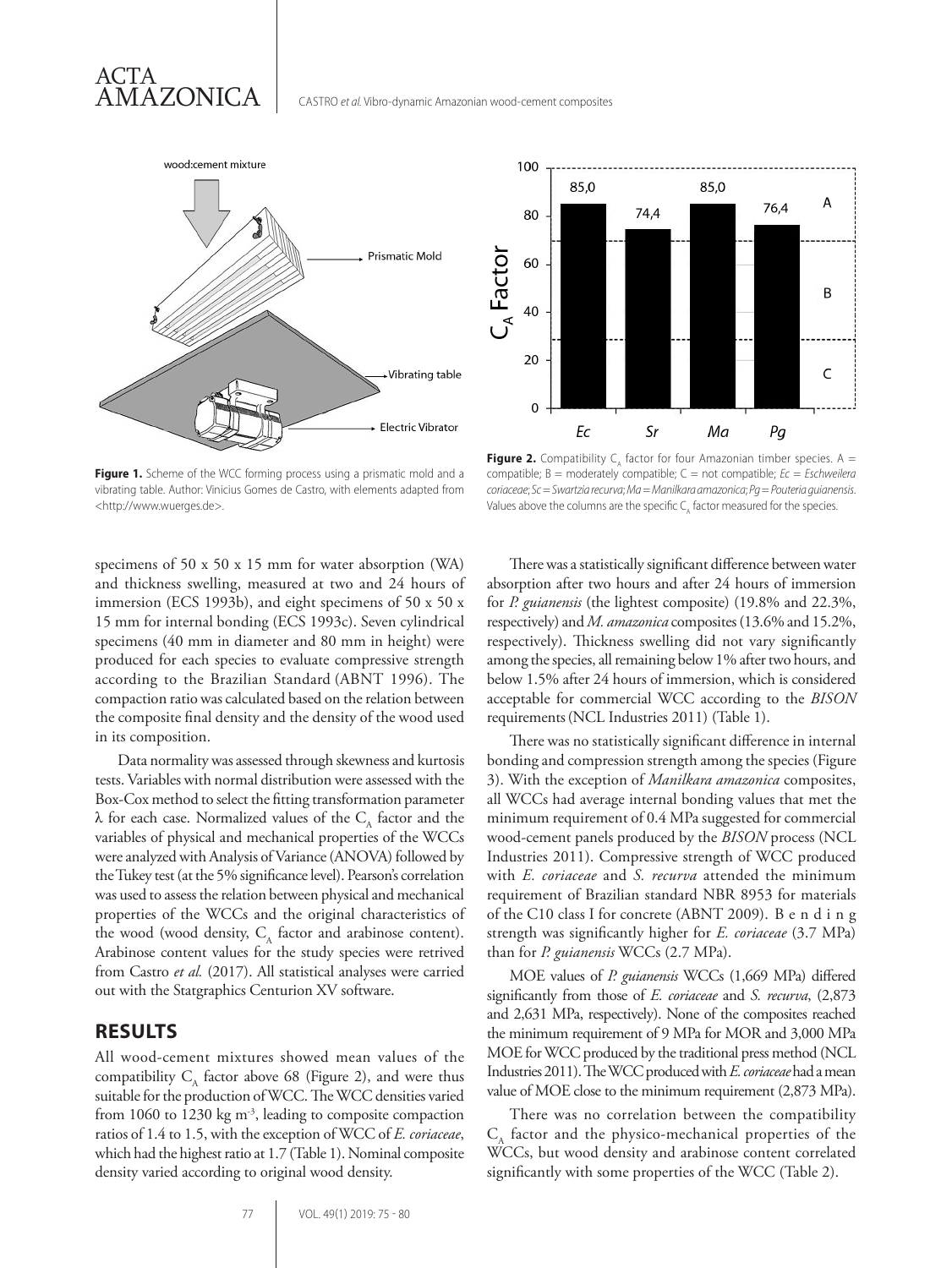





Figure 1. Scheme of the WCC forming process using a prismatic mold and a vibrating table. Author: Vinicius Gomes de Castro, with elements adapted from <http://www.wuerges.de>.

**Figure 2.** Compatibility  $C_A$  factor for four Amazonian timber species.  $A =$ compatible; B = moderately compatible; C = not compatible; *Ec* = *Eschweilera coriaceae*; *Sc* = *Swartzia recurva*; *Ma* = *Manilkara amazonica*; *Pg* = *Pouteria guianensis*. Values above the columns are the specific  $C_A$  factor measured for the species.

specimens of 50 x 50 x 15 mm for water absorption (WA) and thickness swelling, measured at two and 24 hours of immersion (ECS 1993b), and eight specimens of 50 x 50 x 15 mm for internal bonding (ECS 1993c). Seven cylindrical specimens (40 mm in diameter and 80 mm in height) were produced for each species to evaluate compressive strength according to the Brazilian Standard (ABNT 1996). The compaction ratio was calculated based on the relation between the composite final density and the density of the wood used in its composition.

Data normality was assessed through skewness and kurtosis tests. Variables with normal distribution were assessed with the Box-Cox method to select the fitting transformation parameter  $\lambda$  for each case. Normalized values of the C<sub>A</sub> factor and the variables of physical and mechanical properties of the WCCs were analyzed with Analysis of Variance (ANOVA) followed by the Tukey test (at the 5% significance level). Pearson's correlation was used to assess the relation between physical and mechanical properties of the WCCs and the original characteristics of the wood (wood density,  $C_A$  factor and arabinose content). Arabinose content values for the study species were retrived from Castro *et al.* (2017). All statistical analyses were carried out with the Statgraphics Centurion XV software.

### **RESULTS**

All wood-cement mixtures showed mean values of the compatibility  $C_A$  factor above 68 (Figure 2), and were thus suitable for the production of WCC. The WCC densities varied from 1060 to 1230 kg  $m<sup>3</sup>$ , leading to composite compaction ratios of 1.4 to 1.5, with the exception of WCC of *E. coriaceae*, which had the highest ratio at 1.7 (Table 1). Nominal composite density varied according to original wood density.

There was a statistically significant difference between water absorption after two hours and after 24 hours of immersion for *P. guianensis* (the lightest composite) (19.8% and 22.3%, respectively) and *M. amazonica* composites (13.6% and 15.2%, respectively). Thickness swelling did not vary significantly among the species, all remaining below 1% after two hours, and below 1.5% after 24 hours of immersion, which is considered acceptable for commercial WCC according to the *BISON* requirements(NCL Industries 2011) (Table 1).

There was no statistically significant difference in internal bonding and compression strength among the species (Figure 3). With the exception of *Manilkara amazonica* composites, all WCCs had average internal bonding values that met the minimum requirement of 0.4 MPa suggested for commercial wood-cement panels produced by the *BISON* process (NCL Industries 2011). Compressive strength of WCC produced with *E. coriaceae* and *S. recurva* attended the minimum requirement of Brazilian standard NBR 8953 for materials of the C10 class I for concrete (ABNT 2009). B e n d i n g strength was significantly higher for *E. coriaceae* (3.7 MPa) than for *P. guianensis* WCCs (2.7 MPa).

MOE values of *P. guianensis* WCCs (1,669 MPa) differed significantly from those of *E. coriaceae* and *S. recurva*, (2,873 and 2,631 MPa, respectively). None of the composites reached the minimum requirement of 9 MPa for MOR and 3,000 MPa MOE for WCC produced by the traditional press method (NCL Industries 2011). The WCC produced with *E. coriaceae* had a mean value of MOE close to the minimum requirement (2,873 MPa).

There was no correlation between the compatibility  $C_A$  factor and the physico-mechanical properties of the WCCs, but wood density and arabinose content correlated significantly with some properties of the WCC (Table 2).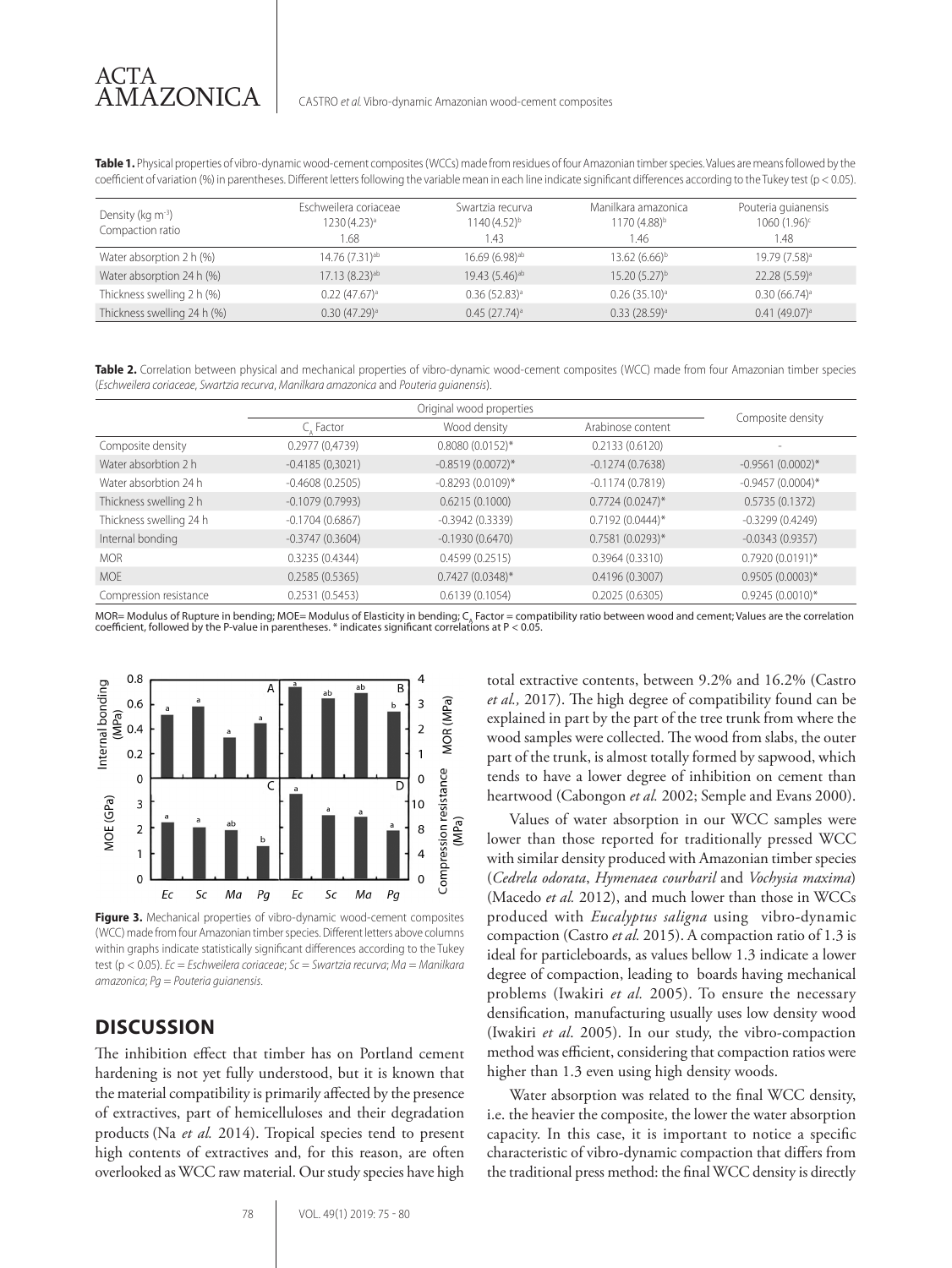**Table 1.** Physical properties of vibro-dynamic wood-cement composites (WCCs) made from residues of four Amazonian timber species. Values are means followed by the coefficient of variation (%) in parentheses. Different letters following the variable mean in each line indicate significant differences according to the Tukey test (p < 0.05).

| Density (kg m <sup>-3</sup> )<br>Compaction ratio | Eschweilera coriaceae<br>1230 (4.23) <sup>a</sup><br>.68 | Swartzia recurva<br>1140 (4.52) <sup>b</sup><br>. 43 | Manilkara amazonica<br>$1170(4.88)^{b}$<br>1.46 | Pouteria quianensis<br>1060 (1.96) <sup>c</sup><br>1.48 |
|---------------------------------------------------|----------------------------------------------------------|------------------------------------------------------|-------------------------------------------------|---------------------------------------------------------|
| Water absorption 2 h (%)                          | 14.76 (7.31) <sup>ab</sup>                               | $16.69(6.98)$ <sup>ab</sup>                          | $13.62(6.66)^{b}$                               | 19.79 (7.58) <sup>a</sup>                               |
| Water absorption 24 h (%)                         | 17.13 (8.23) <sup>ab</sup>                               | 19.43 (5.46) <sup>ab</sup>                           | $15.20(5.27)^{b}$                               | 22.28 (5.59) <sup>a</sup>                               |
| Thickness swelling 2 h (%)                        | $0.22(47.67)^a$                                          | $0.36(52.83)^a$                                      | $0.26$ (35.10) <sup>a</sup>                     | $0.30(66.74)^a$                                         |
| Thickness swelling 24 h (%)                       | $0.30(47.29)$ <sup>a</sup>                               | $0.45(27.74)^a$                                      | $0.33$ (28.59) <sup>a</sup>                     | 0.41(49.07) <sup>a</sup>                                |

**Table 2.** Correlation between physical and mechanical properties of vibro-dynamic wood-cement composites (WCC) made from four Amazonian timber species (*Eschweilera coriaceae*, *Swartzia recurva*, *Manilkara amazonica* and *Pouteria guianensis*).

|                         | Original wood properties |                     |                    |                     |
|-------------------------|--------------------------|---------------------|--------------------|---------------------|
|                         | C. Factor                | Wood density        | Arabinose content  | Composite density   |
| Composite density       | 0.2977(0.4739)           | $0.8080(0.0152)$ *  | 0.2133(0.6120)     |                     |
| Water absorbtion 2 h    | $-0.4185(0,3021)$        | $-0.8519(0.0072)$ * | $-0.1274(0.7638)$  | $-0.9561(0.0002)$ * |
| Water absorbtion 24 h   | $-0.4608(0.2505)$        | $-0.8293(0.0109)$ * | $-0.1174(0.7819)$  | $-0.9457(0.0004)$ * |
| Thickness swelling 2 h  | $-0.1079(0.7993)$        | 0.6215(0.1000)      | $0.7724(0.0247)^*$ | 0.5735(0.1372)      |
| Thickness swelling 24 h | $-0.1704(0.6867)$        | $-0.3942(0.3339)$   | $0.7192(0.0444)^*$ | $-0.3299(0.4249)$   |
| Internal bonding        | $-0.3747(0.3604)$        | $-0.1930(0.6470)$   | $0.7581(0.0293)$ * | $-0.0343(0.9357)$   |
| <b>MOR</b>              | 0.3235(0.4344)           | 0.4599(0.2515)      | 0.3964(0.3310)     | $0.7920(0.0191)$ *  |
| <b>MOE</b>              | 0.2585(0.5365)           | $0.7427(0.0348)$ *  | 0.4196(0.3007)     | $0.9505(0.0003)*$   |
| Compression resistance  | 0.2531(0.5453)           | 0.6139(0.1054)      | 0.2025(0.6305)     | $0.9245(0.0010)*$   |

MOR= Modulus of Rupture in bending; MOE= Modulus of Elasticity in bending; C<sub>A</sub> Factor = compatibility ratio between wood and cement; Values are the correlation<br>coefficient, followed by the P-value in parentheses. \* indica



**Figure 3.** Mechanical properties of vibro-dynamic wood-cement composites (WCC) made from four Amazonian timber species. Different letters above columns within graphs indicate statistically significant differences according to the Tukey test (p < 0.05). *Ec* = *Eschweilera coriaceae*; *Sc* = *Swartzia recurva*; *Ma* = *Manilkara amazonica*; *Pg* = *Pouteria guianensis*.

# **DISCUSSION**

The inhibition effect that timber has on Portland cement hardening is not yet fully understood, but it is known that the material compatibility is primarily affected by the presence of extractives, part of hemicelluloses and their degradation products (Na *et al.* 2014). Tropical species tend to present high contents of extractives and, for this reason, are often overlooked as WCC raw material. Our study species have high

total extractive contents, between 9.2% and 16.2% (Castro *et al.,* 2017). The high degree of compatibility found can be explained in part by the part of the tree trunk from where the wood samples were collected. The wood from slabs, the outer part of the trunk, is almost totally formed by sapwood, which tends to have a lower degree of inhibition on cement than heartwood (Cabongon *et al.* 2002; Semple and Evans 2000).

Values of water absorption in our WCC samples were lower than those reported for traditionally pressed WCC with similar density produced with Amazonian timber species (*Cedrela odorata*, *Hymenaea courbaril* and *Vochysia maxima*) (Macedo *et al.* 2012), and much lower than those in WCCs produced with *Eucalyptus saligna* using vibro-dynamic compaction (Castro *et al.* 2015). A compaction ratio of 1.3 is ideal for particleboards, as values bellow 1.3 indicate a lower degree of compaction, leading to boards having mechanical problems (Iwakiri *et al.* 2005). To ensure the necessary densification, manufacturing usually uses low density wood (Iwakiri *et al*. 2005). In our study, the vibro-compaction method was efficient, considering that compaction ratios were higher than 1.3 even using high density woods.

Water absorption was related to the final WCC density, i.e. the heavier the composite, the lower the water absorption capacity. In this case, it is important to notice a specific characteristic of vibro-dynamic compaction that differs from the traditional press method: the final WCC density is directly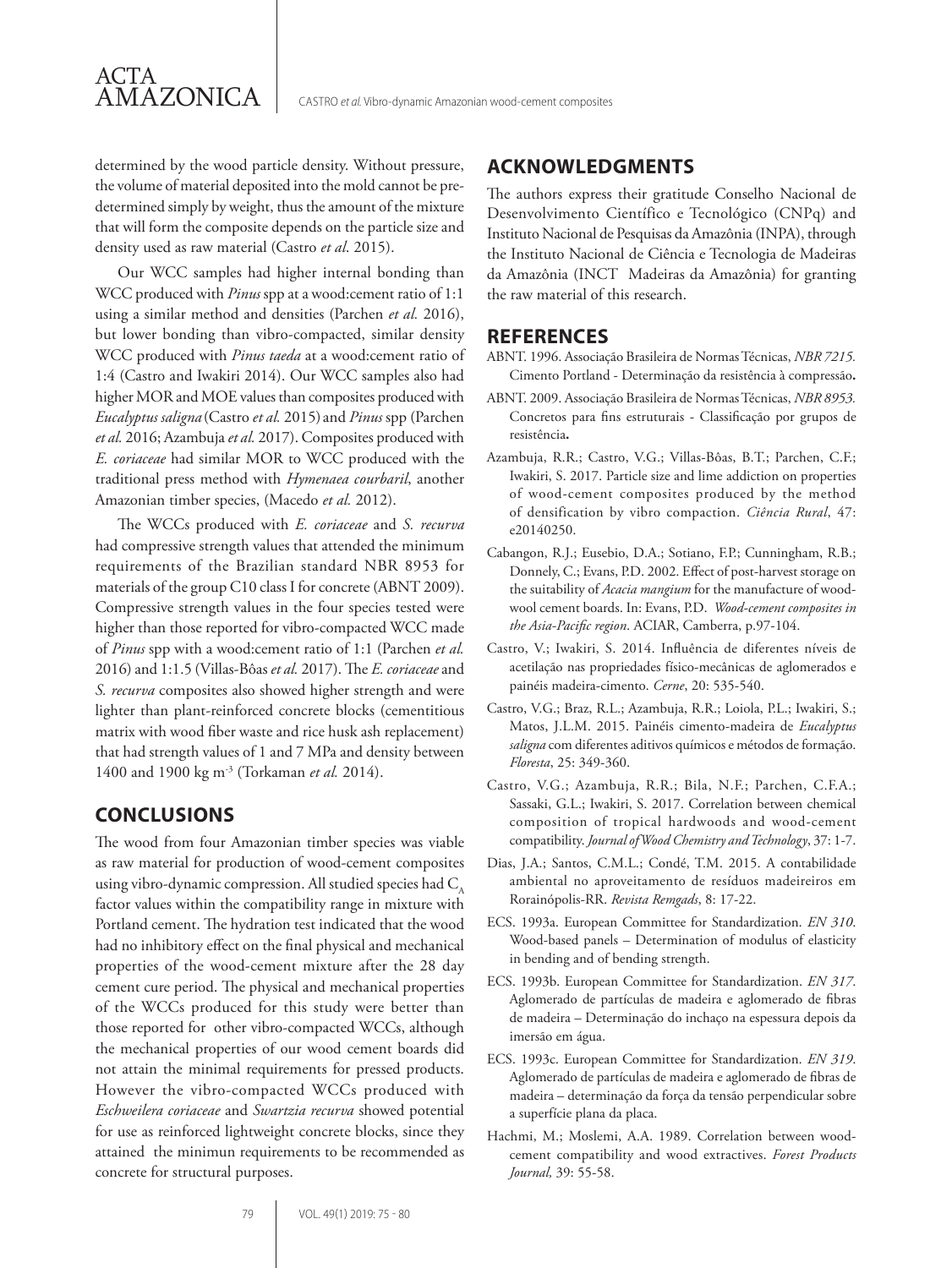determined by the wood particle density. Without pressure, the volume of material deposited into the mold cannot be predetermined simply by weight, thus the amount of the mixture that will form the composite depends on the particle size and density used as raw material (Castro *et al*. 2015).

ACTA

AMAZONICA

Our WCC samples had higher internal bonding than WCC produced with *Pinus* spp at a wood:cement ratio of 1:1 using a similar method and densities (Parchen *et al.* 2016), but lower bonding than vibro-compacted, similar density WCC produced with *Pinus taeda* at a wood:cement ratio of 1:4 (Castro and Iwakiri 2014). Our WCC samples also had higher MOR and MOE values than composites produced with *Eucalyptus saligna* (Castro *et al.* 2015) and *Pinus* spp (Parchen *et al.* 2016; Azambuja *et al.* 2017). Composites produced with *E. coriaceae* had similar MOR to WCC produced with the traditional press method with *Hymenaea courbaril*, another Amazonian timber species, (Macedo *et al.* 2012).

The WCCs produced with *E. coriaceae* and *S. recurva* had compressive strength values that attended the minimum requirements of the Brazilian standard NBR 8953 for materials of the group C10 class I for concrete (ABNT 2009). Compressive strength values in the four species tested were higher than those reported for vibro-compacted WCC made of *Pinus* spp with a wood:cement ratio of 1:1 (Parchen *et al.* 2016) and 1:1.5 (Villas-Bôas *et al.* 2017). The *E. coriaceae* and *S. recurva* composites also showed higher strength and were lighter than plant-reinforced concrete blocks (cementitious matrix with wood fiber waste and rice husk ash replacement) that had strength values of 1 and 7 MPa and density between 1400 and 1900 kg m-3 (Torkaman *et al.* 2014).

# **CONCLUSIONS**

The wood from four Amazonian timber species was viable as raw material for production of wood-cement composites using vibro-dynamic compression. All studied species had  $C_{\text{A}}$ factor values within the compatibility range in mixture with Portland cement. The hydration test indicated that the wood had no inhibitory effect on the final physical and mechanical properties of the wood-cement mixture after the 28 day cement cure period. The physical and mechanical properties of the WCCs produced for this study were better than those reported for other vibro-compacted WCCs, although the mechanical properties of our wood cement boards did not attain the minimal requirements for pressed products. However the vibro-compacted WCCs produced with *Eschweilera coriaceae* and *Swartzia recurva* showed potential for use as reinforced lightweight concrete blocks, since they attained the minimun requirements to be recommended as concrete for structural purposes.

## **ACKNOWLEDGMENTS**

The authors express their gratitude Conselho Nacional de Desenvolvimento Científico e Tecnológico (CNPq) and Instituto Nacional de Pesquisas da Amazônia (INPA), through the Instituto Nacional de Ciência e Tecnologia de Madeiras da Amazônia (INCT Madeiras da Amazônia) for granting the raw material of this research.

#### **REFERENCES**

- ABNT. 1996. Associação Brasileira de Normas Técnicas, *NBR 7215.* Cimento Portland - Determinação da resistência à compressão**.**
- ABNT. 2009. Associação Brasileira de Normas Técnicas, *NBR 8953.* Concretos para fins estruturais - Classificação por grupos de resistência**.**
- Azambuja, R.R.; Castro, V.G.; Villas-Bôas, B.T.; Parchen, C.F.; Iwakiri, S. 2017. Particle size and lime addiction on properties of wood-cement composites produced by the method of densification by vibro compaction. *Ciência Rural*, 47: e20140250.
- Cabangon, R.J.; Eusebio, D.A.; Sotiano, F.P.; Cunningham, R.B.; Donnely, C.; Evans, P.D. 2002. Effect of post-harvest storage on the suitability of *Acacia mangium* for the manufacture of woodwool cement boards. In: Evans, P.D. *Wood-cement composites in the Asia-Pacific region*. ACIAR, Camberra, p.97-104.
- Castro, V.; Iwakiri, S. 2014. Influência de diferentes níveis de acetilação nas propriedades físico-mecânicas de aglomerados e painéis madeira-cimento. *Cerne*, 20: 535-540.
- Castro, V.G.; Braz, R.L.; Azambuja, R.R.; Loiola, P.L.; Iwakiri, S.; Matos, J.L.M. 2015. Painéis cimento-madeira de *Eucalyptus saligna* com diferentes aditivos químicos e métodos de formação. *Floresta*, 25: 349-360.
- Castro, V.G.; Azambuja, R.R.; Bila, N.F.; Parchen, C.F.A.; Sassaki, G.L.; Iwakiri, S. 2017. Correlation between chemical composition of tropical hardwoods and wood-cement compatibility. *Journal of Wood Chemistry and Technology*, 37: 1-7.
- Dias, J.A.; Santos, C.M.L.; Condé, T.M. 2015. A contabilidade ambiental no aproveitamento de resíduos madeireiros em Rorainópolis-RR. *Revista Remgads*, 8: 17-22.
- ECS. 1993a. European Committee for Standardization. *EN 310*. Wood-based panels – Determination of modulus of elasticity in bending and of bending strength.
- ECS. 1993b. European Committee for Standardization. *EN 317*. Aglomerado de partículas de madeira e aglomerado de fibras de madeira – Determinação do inchaço na espessura depois da imersão em água.
- ECS. 1993c. European Committee for Standardization. *EN 319*. Aglomerado de partículas de madeira e aglomerado de fibras de madeira – determinação da força da tensão perpendicular sobre a superfície plana da placa.
- Hachmi, M.; Moslemi, A.A. 1989. Correlation between woodcement compatibility and wood extractives. *Forest Products Journal,* 39: 55-58.